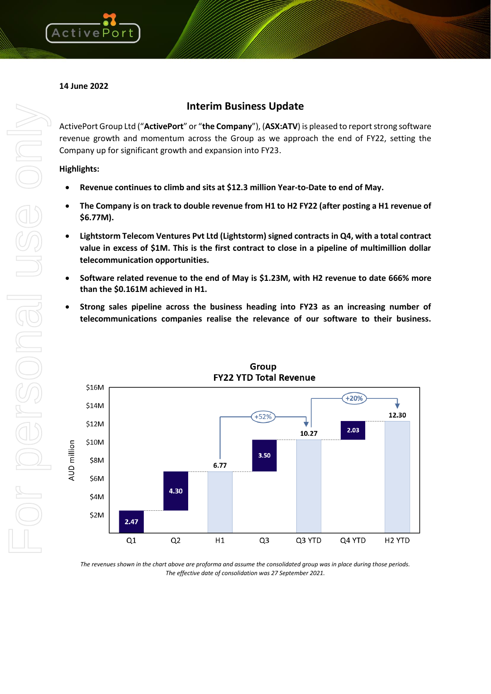

# **14 June 2022**

# **Interim Business Update**

ActivePort Group Ltd ("**ActivePort**" or "**the Company**"), (**ASX:ATV**) is pleased to report strong software revenue growth and momentum across the Group as we approach the end of FY22, setting the Company up for significant growth and expansion into FY23.

**Highlights:**

- **Revenue continues to climb and sits at \$12.3 million Year-to-Date to end of May.**
- **The Company is on track to double revenue from H1 to H2 FY22 (after posting a H1 revenue of \$6.77M).**
- **Lightstorm Telecom Ventures Pvt Ltd (Lightstorm) signed contracts in Q4, with a total contract value in excess of \$1M. This is the first contract to close in a pipeline of multimillion dollar telecommunication opportunities.**
- **Software related revenue to the end of May is \$1.23M, with H2 revenue to date 666% more than the \$0.161M achieved in H1.**
- **Strong sales pipeline across the business heading into FY23 as an increasing number of telecommunications companies realise the relevance of our software to their business.**



Group **FY22 YTD Total Revenue** 

*The revenues shown in the chart above are proforma and assume the consolidated group was in place during those periods. The effective date of consolidation was 27 September 2021.*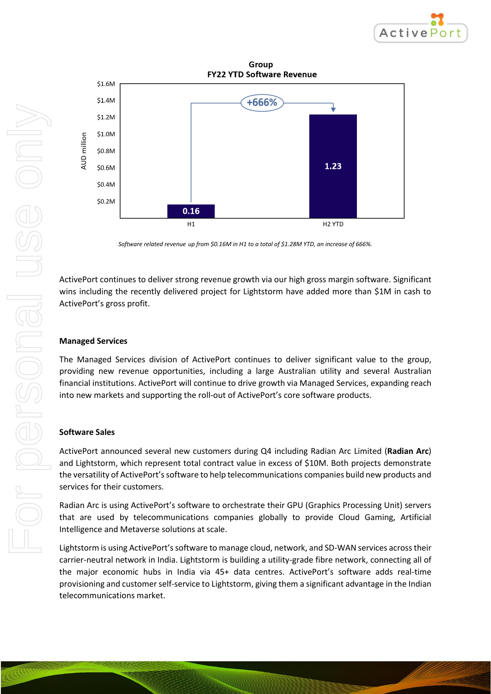

Group **FY22 YTD Software Revenue** 



*Software related revenue up from \$0.16M in H1 to a total of \$1.28M YTD, an increase of 666%.*

ActivePort continues to deliver strong revenue growth via our high gross margin software. Significant wins including the recently delivered project for Lightstorm have added more than \$1M in cash to ActivePort's gross profit.

#### **Managed Services**

The Managed Services division of ActivePort continues to deliver significant value to the group, providing new revenue opportunities, including a large Australian utility and several Australian financial institutions. ActivePort will continue to drive growth via Managed Services, expanding reach into new markets and supporting the roll-out of ActivePort's core software products.

#### **Software Sales**

ActivePort announced several new customers during Q4 including Radian Arc Limited (**Radian Arc**) and Lightstorm, which represent total contract value in excess of \$10M. Both projects demonstrate the versatility of ActivePort's software to help telecommunications companies build new products and services for their customers.

Radian Arc is using ActivePort's software to orchestrate their GPU (Graphics Processing Unit) servers that are used by telecommunications companies globally to provide Cloud Gaming, Artificial Intelligence and Metaverse solutions at scale.

Lightstorm is using ActivePort's software to manage cloud, network, and SD-WAN services across their carrier-neutral network in India. Lightstorm is building a utility-grade fibre network, connecting all of the major economic hubs in India via 45+ data centres. ActivePort's software adds real-time provisioning and customer self-service to Lightstorm, giving them a significant advantage in the Indian telecommunications market.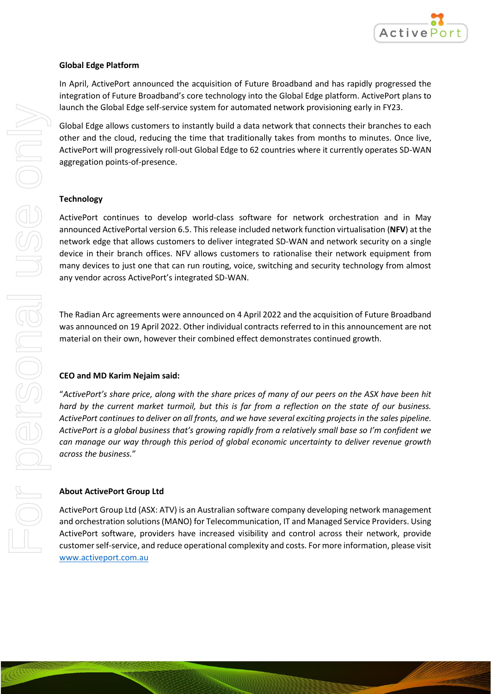

#### **Global Edge Platform**

In April, ActivePort announced the acquisition of Future Broadband and has rapidly progressed the integration of Future Broadband's core technology into the Global Edge platform. ActivePort plans to launch the Global Edge self-service system for automated network provisioning early in FY23.

Global Edge allows customers to instantly build a data network that connects their branches to each other and the cloud, reducing the time that traditionally takes from months to minutes. Once live, ActivePort will progressively roll-out Global Edge to 62 countries where it currently operates SD-WAN aggregation points-of-presence.

## **Technology**

ActivePort continues to develop world-class software for network orchestration and in May announced ActivePortal version 6.5. This release included network function virtualisation (**NFV**) at the network edge that allows customers to deliver integrated SD-WAN and network security on a single device in their branch offices. NFV allows customers to rationalise their network equipment from many devices to just one that can run routing, voice, switching and security technology from almost any vendor across ActivePort's integrated SD-WAN.

The Radian Arc agreements were announced on 4 April 2022 and the acquisition of Future Broadband was announced on 19 April 2022. Other individual contracts referred to in this announcement are not material on their own, however their combined effect demonstrates continued growth.

## **CEO and MD Karim Nejaim said:**

"*ActivePort's share price, along with the share prices of many of our peers on the ASX have been hit hard by the current market turmoil, but this is far from a reflection on the state of our business. ActivePort continues to deliver on all fronts, and we have several exciting projects in the sales pipeline. ActivePort is a global business that's growing rapidly from a relatively small base so I'm confident we can manage our way through this period of global economic uncertainty to deliver revenue growth across the business.*"

## **About ActivePort Group Ltd**

ActivePort Group Ltd (ASX: ATV) is an Australian software company developing network management and orchestration solutions (MANO) for Telecommunication, IT and Managed Service Providers. Using ActivePort software, providers have increased visibility and control across their network, provide customer self-service, and reduce operational complexity and costs. For more information, please visit [www.activeport.com.au](http://www.activeport.com.au/)